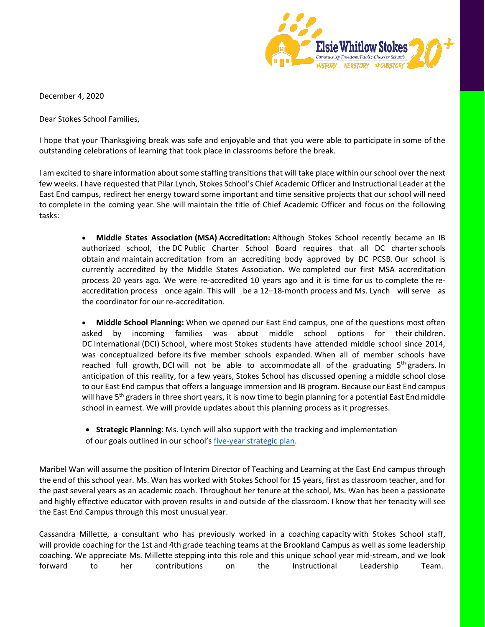

December 4, 2020

Dear Stokes School Families,

I hope that your Thanksgiving break was safe and enjoyable and that you were able to participate in some of the outstanding celebrations of learning that took place in classrooms before the break.

I am excited to share information about some staffing transitions that will take place within our school over the next few weeks. I have requested that Pilar Lynch, Stokes School's Chief Academic Officer and Instructional Leader at the East End campus, redirect her energy toward some important and time sensitive projects that our school will need to complete in the coming year. She will maintain the title of Chief Academic Officer and focus on the following tasks:

> • **Middle States Association (MSA) Accreditation:** Although Stokes School recently became an IB authorized school, the DC Public Charter School Board requires that all DC charter schools obtain and maintain accreditation from an accrediting body approved by DC PCSB. Our school is currently accredited by the Middle States Association. We completed our first MSA accreditation process 20 years ago. We were re-accredited 10 years ago and it is time for us to complete the reaccreditation process once again. This will be a 12–18-month process and Ms. Lynch will serve as the coordinator for our re-accreditation.

> • **Middle School Planning:** When we opened our East End campus, one of the questions most often asked by incoming families was about middle school options for their children. DC International (DCI) School, where most Stokes students have attended middle school since 2014, was conceptualized before its five member schools expanded. When all of member schools have reached full growth, DCI will not be able to accommodate all of the graduating  $5<sup>th</sup>$  graders. In anticipation of this reality, for a few years, Stokes School has discussed opening a middle school close to our East End campus that offers a language immersion and IB program. Because our East End campus will have  $5<sup>th</sup>$  graders in three short years, it is now time to begin planning for a potential East End middle school in earnest. We will provide updates about this planning process as it progresses.

• **Strategic Planning**: Ms. Lynch will also support with the tracking and implementation

of our goals outlined in our school's [five-year strategic plan.](https://23a5e98b-8675-4f13-8091-5e816da7b7f2.filesusr.com/ugd/d9f106_44c25955ac4e46f687f085d3ce43ff93.pdf)

Maribel Wan will assume the position of Interim Director of Teaching and Learning at the East End campus through the end of this school year. Ms. Wan has worked with Stokes School for 15 years, first as classroom teacher, and for the past several years as an academic coach. Throughout her tenure at the school, Ms. Wan has been a passionate and highly effective educator with proven results in and outside of the classroom. I know that her tenacity will see the East End Campus through this most unusual year.

Cassandra Millette, a consultant who has previously worked in a coaching capacity with Stokes School staff, will provide coaching for the 1st and 4th grade teaching teams at the Brookland Campus as well as some leadership coaching. We appreciate Ms. Millette stepping into this role and this unique school year mid-stream, and we look forward to her contributions on the Instructional Leadership Team.